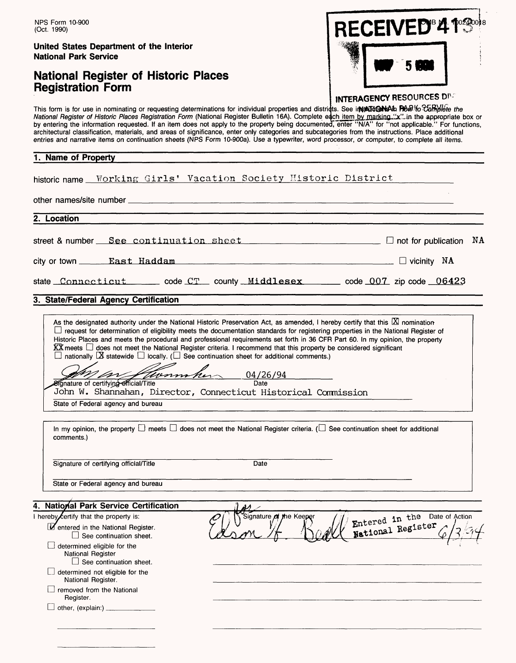NPS Form 10-900 (Oct. 1990)

**United States Department of the Interior National Park Service**

### **National Register of Historic Places Registration Form**

|  | <b>RECEIVED 4 1 4 10 49 ok</b> |  |
|--|--------------------------------|--|
|  | $\mathcal{A}=\mathcal{B}$ .    |  |

### **INTERAGENCY** RESOURCES DP

This form is for use in nominating or requesting determinations for individual properties and distriots. See in**¢pūd@NsAh Pe**oPtio CoPh*oléte the* National Register of Historic Places Registration Form (National Register Bulletin 16A). Complete each item by marking "نلايا" in the appropriate box or المجموعة hy entering the information requested. If an item does not architectural classification, materials, and areas of significance, enter only categories and subcategories from the instructions. Place additional entries and narrative items on continuation sheets (NPS Form 10-900a). Use a typewriter, word processor, or computer, to complete all items.

### **1. Name of Property\_\_\_\_\_\_\_\_\_\_\_\_\_\_\_\_\_\_\_\_\_\_\_\_\_\_\_\_\_\_\_\_\_\_\_\_\_\_\_\_\_\_\_\_\_\_\_\_\_\_**

| historic name Working Girls' Vacation Society Historic District                                                                                                                                                                                                                                                                                                                                                                                                 |                                                    |
|-----------------------------------------------------------------------------------------------------------------------------------------------------------------------------------------------------------------------------------------------------------------------------------------------------------------------------------------------------------------------------------------------------------------------------------------------------------------|----------------------------------------------------|
|                                                                                                                                                                                                                                                                                                                                                                                                                                                                 |                                                    |
| 2. Location                                                                                                                                                                                                                                                                                                                                                                                                                                                     |                                                    |
| street & number See continuation sheet 500 million and 500 million NA                                                                                                                                                                                                                                                                                                                                                                                           |                                                    |
| $city$ or town  East Haddam $\Box$ $\Box$ vicinity NA                                                                                                                                                                                                                                                                                                                                                                                                           |                                                    |
| state Connecticut _______ code CT __ county Middlesex ________ code 007 zip code 06423                                                                                                                                                                                                                                                                                                                                                                          |                                                    |
| 3. State/Federal Agency Certification                                                                                                                                                                                                                                                                                                                                                                                                                           |                                                    |
| $\Box$ nationally $\Box$ statewide $\Box$ locally. ( $\Box$ See continuation sheet for additional comments.)<br>1 / Cheminher 04/26/94<br><b><i>Signature of certifying official/Title</i></b><br>John W. Shannahan, Director, Connecticut Historical Commission<br>State of Federal agency and bureau<br>In my opinion, the property $\square$ meets $\square$ does not meet the National Register criteria. ( $\square$ See continuation sheet for additional |                                                    |
| comments.)<br>Signature of certifying official/Title<br>Date                                                                                                                                                                                                                                                                                                                                                                                                    |                                                    |
| State or Federal agency and bureau                                                                                                                                                                                                                                                                                                                                                                                                                              |                                                    |
| 4. National Park Service Certification                                                                                                                                                                                                                                                                                                                                                                                                                          |                                                    |
| Signature of the Keeper<br>I hereby <i>fertify</i> that the property is:<br>Mentered in the National Register.<br>$\Box$ See continuation sheet.<br>$\Box$ determined eligible for the<br>National Register                                                                                                                                                                                                                                                     | Entered in the Date of Action<br>National Register |
| $\Box$ See continuation sheet.<br>determined not eligible for the<br>National Register.<br>$\Box$ removed from the National<br>Register.                                                                                                                                                                                                                                                                                                                        |                                                    |
|                                                                                                                                                                                                                                                                                                                                                                                                                                                                 |                                                    |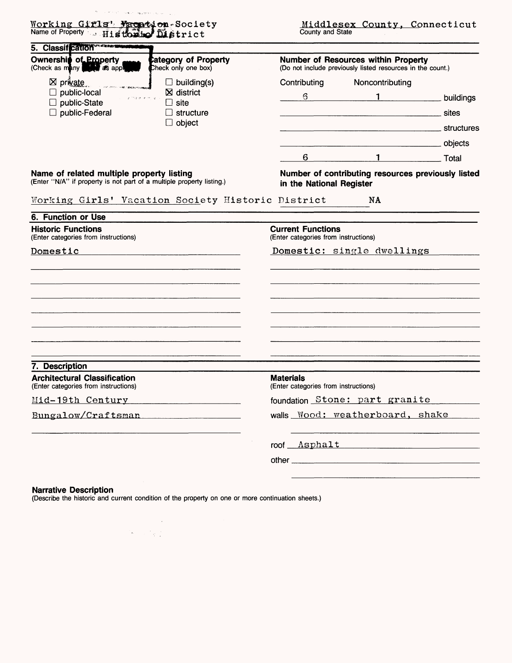Working Giffls' Macation Society<br>Name of Property , Historic District County and State<br>County and State 5. Classification \*\*\*\*\*\*\*\*\* **Ownership of Property Check as image of the check as in app**  $\boxtimes$  private.  $\Box$  public-local  $\square$  public-State  $\Box$  public-Federal ategory of Property **Check only one box)**  $\Box$  building(s)  $\boxtimes$  district  $\Box$  site  $\Box$  structure □ object Number of Resources within Property (Do not include previously listed resources in the count.) Contributing Noncontributing 6 1 6 1 1 buildings sites structures objects Total **Name of related multiple property listing** (Enter "N/A" if property is not part of a multiple property listing.) **Number of contributing resources previously listed in the National Register** Working Girls\* Vacation Society Historic District NA **6. Function or Use Historic Functions** (Enter categories from instructions) Domestic **Current Functions** (Enter categories from instructions) Domestic: single dwellings **7. Description Architectural Classification** (Enter categories from instructions) Mid-19th Century Bungalow/Craftsman **Materials** (Enter categories from instructions) foundation Stone: part granite walls **Wood:** weatherboard, shake roof Asphalt other

#### **Narrative Description**

(Describe the historic and current condition of the property on one or more continuation sheets.)

 $\sim$  $\mathcal{O}_{\mathcal{R}}$  )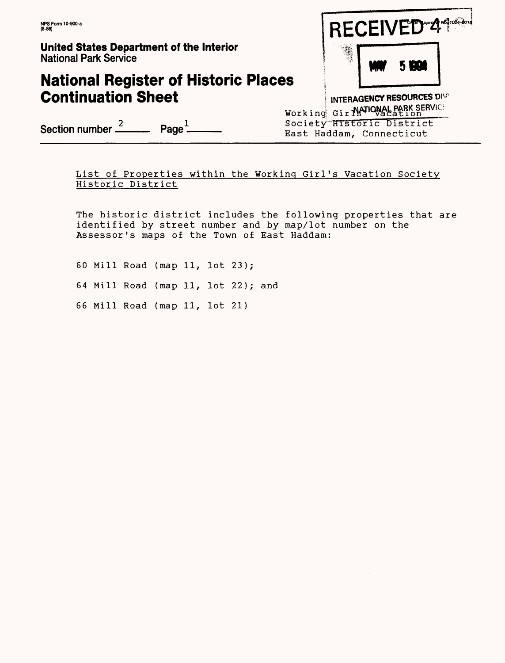# **National Register of Historic Places Continuation Sheet**



INTERAGENCY RESOURCES DIVE Working Gir NATIONAL PARK SERVICE<br>Society Historic District East Haddam, Connecticut

Section number  $\frac{2}{2}$  Page  $\frac{1}{2}$ 

### List o£ Properties within the Working Girl's Vacation Society Historic District

The historic district includes the following properties that are identified by street number and by map/lot number on the Assessor's maps of the Town of East Haddam:

60 Mill Road (map 11, lot 23); 64 Mill Road (map 11, lot 22); and 66 Mill Road (map 11, lot 21)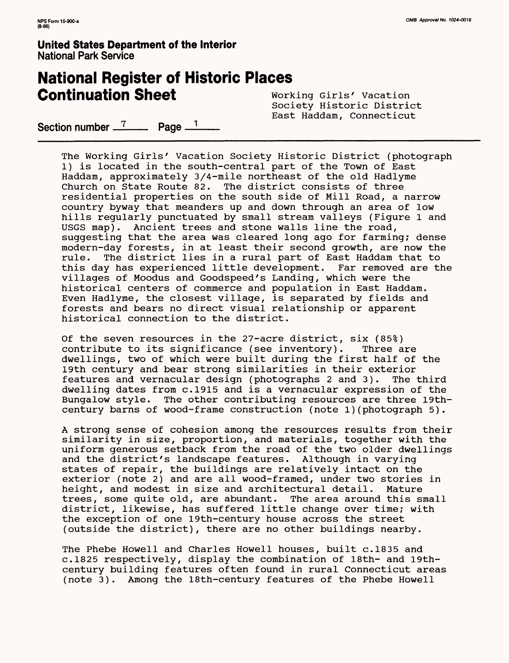## **National Register of Historic Places Continuation Sheet** Working Girls' Vacation

Society Historic District East Haddam, Connecticut

Section number <sup>7</sup><sub>\_\_\_\_</sub> Page <sup>1</sup>\_\_\_

The Working Girls' Vacation Society Historic District (photograph 1) is located in the south-central part of the Town of East Haddam, approximately 3/4-mile northeast of the old Hadlyme Church on State Route 82. The district consists of three residential properties on the south side of Mill Road, a narrow country byway that meanders up and down through an area of low hills regularly punctuated by small stream valleys (Figure 1 and USGS map). Ancient trees and stone walls line the road, suggesting that the area was cleared long ago for farming; dense modern-day forests, in at least their second growth, are now the rule. The district lies in a rural part of East Haddam that to this day has experienced little development. Far removed are the villages of Moodus and Goodspeed's Landing, which were the historical centers of commerce and population in East Haddam. Even Hadlyme, the closest village, is separated by fields and forests and bears no direct visual relationship or apparent historical connection to the district.

Of the seven resources in the 27-acre district, six (85%) contribute to its significance (see inventory). Three are dwellings, two of which were built during the first half of the 19th century and bear strong similarities in their exterior features and vernacular design (photographs 2 and 3). The third dwelling dates from c.1915 and is a vernacular expression of the Bungalow style. The other contributing resources are three 19thcentury barns of wood-frame construction (note 1)(photograph 5).

A strong sense of cohesion among the resources results from their similarity in size, proportion, and materials, together with the uniform generous setback from the road of the two older dwellings and the district's landscape features. Although in varying states of repair, the buildings are relatively intact on the exterior (note 2) and are all wood-framed, under two stories in height, and modest in size and architectural detail. Mature trees, some quite old, are abundant. The area around this small district, likewise, has suffered little change over time; with the exception of one 19th-century house across the street (outside the district), there are no other buildings nearby.

The Phebe Howell and Charles Howell houses, built c.1835 and c.1825 respectively, display the combination of 18th- and 19thcentury building features often found in rural Connecticut areas (note 3). Among the 18th-century features of the Phebe Howell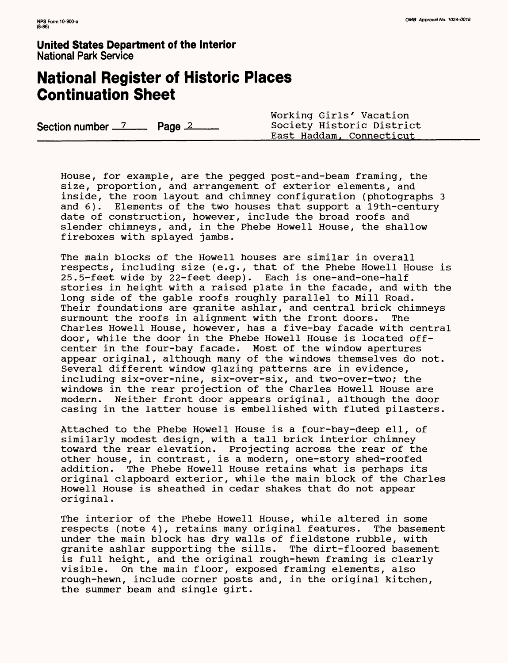# **National Register of Historic Places Continuation Sheet**

|                                | Working Girls' Vacation   |
|--------------------------------|---------------------------|
| Section number <u>2</u> Page 2 | Society Historic District |
|                                | East Haddam, Connecticut  |

House, for example, are the pegged post-and-beam framing, the size, proportion, and arrangement of exterior elements, and inside, the room layout and chimney configuration (photographs 3 and 6). Elements of the two houses that support a 19th-century date of construction, however, include the broad roofs and slender chimneys, and, in the Phebe Howell House, the shallow fireboxes with splayed jambs.

The main blocks of the Howell houses are similar in overall respects, including size (e.g., that of the Phebe Howell House is 25.5-feet wide by 22-feet deep). Each is one-and-one-half stories in height with a raised plate in the facade, and with the long side of the gable roofs roughly parallel to Mill Road. Their foundations are granite ashlar, and central brick chimneys surmount the roofs in alignment with the front doors. The Charles Howell House, however, has a five-bay facade with central door, while the door in the Phebe Howell House is located offcenter in the four-bay facade. Most of the window apertures appear original, although many of the windows themselves do not. Several different window glazing patterns are in evidence, including six-over-nine, six-over-six, and two-over-two; the windows in the rear projection of the Charles Howell House are modern. Neither front door appears original, although the door casing in the latter house is embellished with fluted pilasters.

Attached to the Phebe Howell House is a four-bay-deep ell, of similarly modest design, with a tall brick interior chimney toward the rear elevation. Projecting across the rear of the other house, in contrast, is a modern, one-story shed-roofed<br>addition. The Phebe Howell House retains what is perhaps its The Phebe Howell House retains what is perhaps its original clapboard exterior, while the main block of the Charles Howell House is sheathed in cedar shakes that do not appear original.

The interior of the Phebe Howell House, while altered in some respects (note 4), retains many original features. The basement under the main block has dry walls of fieldstone rubble, with<br>granite ashlar supporting the sills. The dirt-floored basement granite ashlar supporting the sills. is full height, and the original rough-hewn framing is clearly visible. On the main floor, exposed framing elements, also rough-hewn, include corner posts and, in the original kitchen, the summer beam and single girt.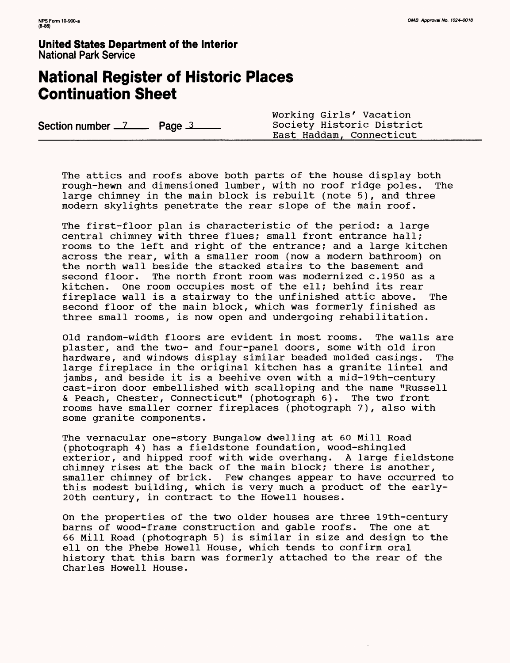# **National Register of Historic Places Continuation Sheet**

| Section number $2$ Page $3$ $2$ | Working Girls' Vacation<br>Society Historic District<br>East Haddam, Connecticut |
|---------------------------------|----------------------------------------------------------------------------------|
|---------------------------------|----------------------------------------------------------------------------------|

The attics and roofs above both parts of the house display both rough-hewn and dimensioned lumber, with no roof ridge poles. The large chimney in the main block is rebuilt (note 5), and three modern skylights penetrate the rear slope of the main roof.

The first-floor plan is characteristic of the period: a large central chimney with three flues; small front entrance hall; rooms to the left and right of the entrance; and a large kitchen across the rear, with a smaller room (now a modern bathroom) on the north wall beside the stacked stairs to the basement and second floor. The north front room was modernized c.1950 as a<br>kitchen. One room occupies most of the ell; behind its rear One room occupies most of the ell; behind its rear fireplace wall is a stairway to the unfinished attic above. The second floor of the main block, which was formerly finished as three small rooms, is now open and undergoing rehabilitation.

Old random-width floors are evident in most rooms. The walls are plaster, and the two- and four-panel doors, some with old iron hardware, and windows display similar beaded molded casings. The large fireplace in the original kitchen has a granite lintel and jambs, and beside it is a beehive oven with a mid-19th-century cast-iron door embellished with scalloping and the name "Russell & Peach, Chester, Connecticut" (photograph 6). The two front rooms have smaller corner fireplaces (photograph 7), also with some granite components.

The vernacular one-story Bungalow dwelling at 60 Mill Road (photograph 4) has a fieldstone foundation, wood-shingled exterior, and hipped roof with wide overhang. A large fieldstone chimney rises at the back of the main block; there is another, smaller chimney of brick. Few changes appear to have occurred to this modest building, which is very much a product of the early-20th century, in contract to the Howell houses.

On the properties of the two older houses are three 19th-century barns of wood-frame construction and gable roofs. The one at 66 Mill Road (photograph 5) is similar in size and design to the ell on the Phebe Howell House, which tends to confirm oral history that this barn was formerly attached to the rear of the Charles Howell House.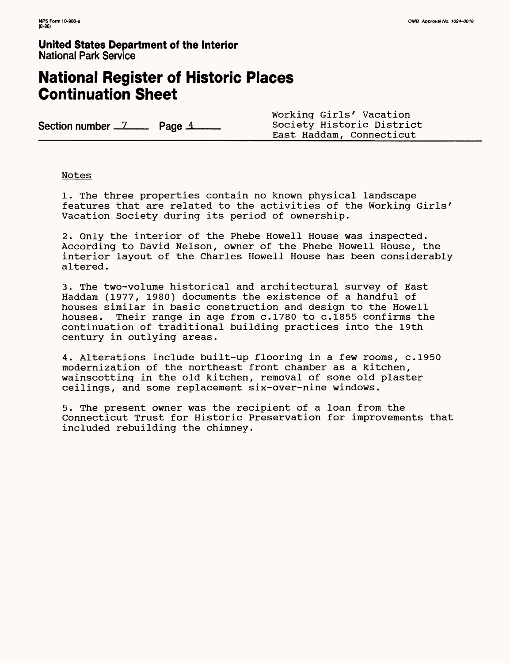# **National Register of Historic Places Continuation Sheet**

Section number <u>7</u> Page 4

Working Girls' Vacation<br>Society Historic District East Haddam, Connecticut

Notes

1. The three properties contain no known physical landscape features that are related to the activities of the Working Girls' Vacation Society during its period of ownership.

2. Only the interior of the Phebe Howell House was inspected. According to David Nelson, owner of the Phebe Howell House, the interior layout of the Charles Howell House has been considerably altered.

3. The two-volume historical and architectural survey of East Haddam (1977, 1980) documents the existence of a handful of houses similar in basic construction and design to the Howell houses. Their range in age from c.1780 to c.1855 confirms the continuation of traditional building practices into the 19th century in outlying areas.

4. Alterations include built-up flooring in a few rooms, c.1950 modernization of the northeast front chamber as a kitchen, wainscotting in the old kitchen, removal of some old plaster ceilings, and some replacement six-over-nine windows.

5. The present owner was the recipient of a loan from the Connecticut Trust for Historic Preservation for improvements that included rebuilding the chimney.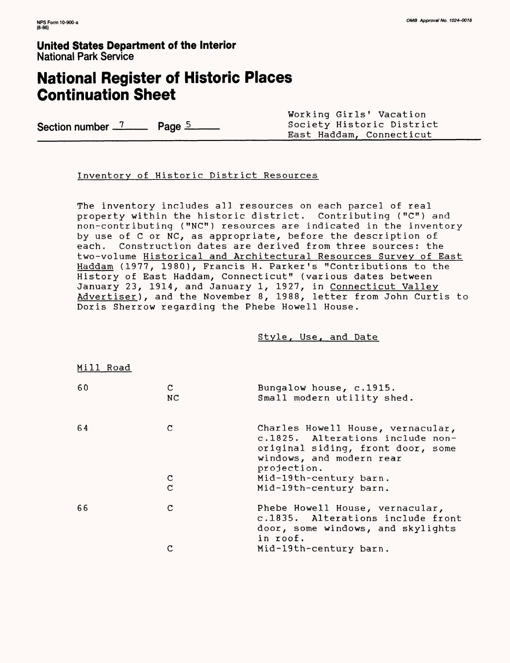# **National Register of Historic Places Continuation Sheet**

Section number <sup>7</sup><sub>2</sub> Page 5

Mill Road

Working Girls' Vacation East Haddam, Connecticut

### Inventory of Historic District Resources

The inventory includes all resources on each parcel of real property within the historic district. Contributing ("C") and non-contributing ("NC"} resources are indicated in the inventory by use of C or NC, as appropriate, before the description of each. Construction dates are derived from three sources: the two-volume Historical and Architectural Resources Survey of East Haddam (1977, 1980), Francis H. Parker's "Contributions to the History of East Haddam, Connecticut" (various dates between January 23, 1914, and January 1, 1927, in Connecticut Valley Advertiser), and the November 8, 1988, letter from John Curtis to Doris Sherrow regarding the Phebe Howell House.

Style, Use, and Date

| 60 | C.<br>NC    | Bungalow house, c.1915.<br>Small modern utility shed.                                                                                                 |
|----|-------------|-------------------------------------------------------------------------------------------------------------------------------------------------------|
| 64 | C           | Charles Howell House, vernacular,<br>c.1825. Alterations include non-<br>original siding, front door, some<br>windows, and modern rear<br>projection. |
|    |             | Mid-19th-century barn.                                                                                                                                |
|    | $\mathbf C$ | Mid-19th-century barn.                                                                                                                                |
| 66 | C           | Phebe Howell House, vernacular,<br>c.1835. Alterations include front<br>door, some windows, and skylights<br>in roof.                                 |
|    | С           | Mid-19th-century barn.                                                                                                                                |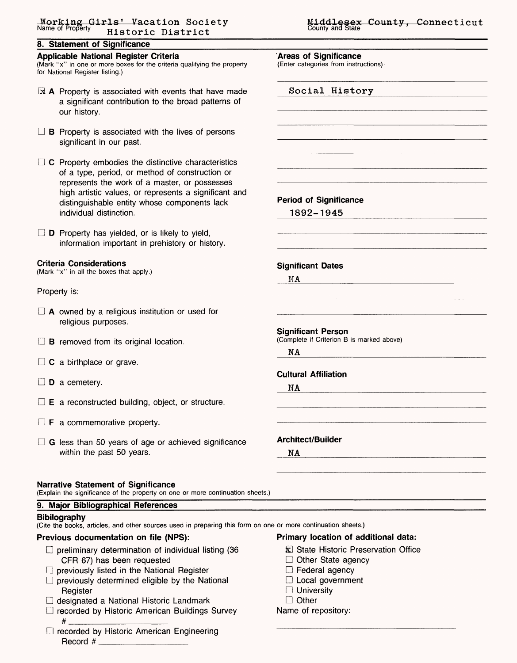### **8. Statement of Significance**

#### **Applicable National Register Criteria**

(Mark "x" in one or more boxes for the criteria qualifying the property for National Register listing.)

- $\boxtimes$  A Property is associated with events that have made a significant contribution to the broad patterns of our history.
- $\Box$  **B** Property is associated with the lives of persons significant in our past.
- $\Box$  C Property embodies the distinctive characteristics of a type, period, or method of construction or represents the work of a master, or possesses high artistic values, or represents a significant and distinguishable entity whose components lack individual distinction.
- $\square$  **D** Property has yielded, or is likely to yield, information important in prehistory or history.

#### **Criteria Considerations**

(Mark "x" in all the boxes that apply.)

#### **Property is:**

- $\Box$  A owned by a religious institution or used for religious purposes.
- $\Box$  **B** removed from its original location.
- $\Box$  C a birthplace or grave.
- $\square$  **D** a cemetery.
- $\Box$  **E** a reconstructed building, object, or structure.
- $\Box$  **F** a commemorative property.
- $\Box$  G less than 50 years of age or achieved significance within the past 50 years.

#### **Narrative Statement of Significance**

(Explain the significance of the property on one or more continuation sheets.)

### **9. Major Bibliographical References**

#### **Bibliography**

(Cite the books, articles, and other sources used in preparing this form on one or more continuation sheets.)

#### **Previous documentation on file (NPS):**

- $\square$  preliminary determination of individual listing (36 CFR 67) has been requested
- $\Box$  previously listed in the National Register
- $\square$  previously determined eligible by the National **Register**
- $\Box$  designated a National Historic Landmark
- $\Box$  recorded by Historic American Buildings Survey *#* \_\_\_\_\_\_\_\_\_\_\_\_\_\_
- D recorded by Historic American Engineering Record #

## Middlesex County, Connecticut<br>County and State

**Areas of Significance** (Enter categories from instructions) Social History **Period of Significance 1892-1945 Significant Dates** NA **Significant Person** (Complete if Criterion B is marked above) NA **Cultural Affiliation** NA **Architect/Builder** NA

### **Primary location of additional data:**

- E State Historic Preservation Office
- Other State agency
- $\Box$  Federal agency
- D Local government
- $\Box$  University
- □ Other

### Name of repository: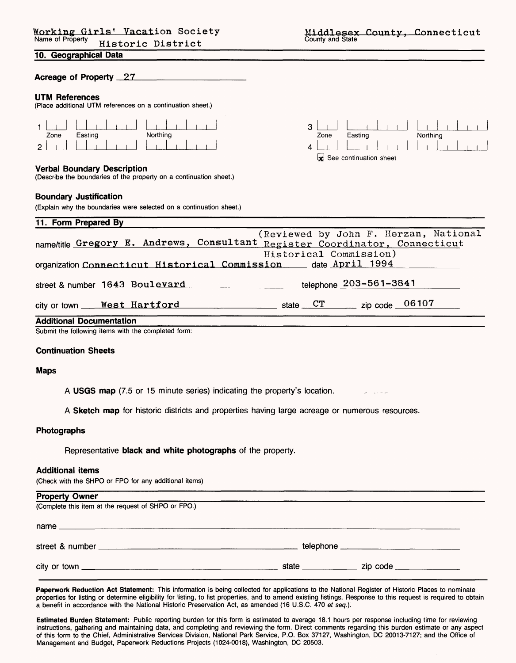**10. Geographical Data**

| Acreage of Property 27                                                                                   |                                                                                                      |
|----------------------------------------------------------------------------------------------------------|------------------------------------------------------------------------------------------------------|
| <b>UTM References</b><br>(Place additional UTM references on a continuation sheet.)                      |                                                                                                      |
| Northing<br>Easting<br>Zone<br>2                                                                         | 3<br>Northina<br>Easting<br>Zone<br>4<br>x See continuation sheet                                    |
| <b>Verbal Boundary Description</b><br>(Describe the boundaries of the property on a continuation sheet.) |                                                                                                      |
| <b>Boundary Justification</b><br>(Explain why the boundaries were selected on a continuation sheet.)     |                                                                                                      |
| 11. Form Prepared By                                                                                     |                                                                                                      |
| name/title Gregory E. Andrews, Consultant                                                                | (Reviewed by John F. Herzan, National<br>Register Coordinator, Connecticut<br>Historical Commission) |
| organization Connecticut Historical Commission                                                           | date April 1994                                                                                      |
| street & number 1643 Boulevard                                                                           | telephone 203-561-3841                                                                               |
| city or town West Hartford                                                                               | zip code _ 06107<br>CT<br>state                                                                      |
| <b>Additional Documentation</b>                                                                          |                                                                                                      |
| Submit the following items with the completed form:                                                      |                                                                                                      |

#### **Continuation Sheets**

#### **Maps**

**A USGS map** (7.5 or 15 minute series) indicating the property's location.  $\sim$   $\sim$   $\sim$ 

**A Sketch map** for historic districts and properties having large acreage or numerous resources.

### **Photographs**

Representative **black and white photographs** of the property.

#### **Additional items**

(Check with the SHPO or FPO for any additional items)

| <b>Property Owner</b>                               |                                             |  |
|-----------------------------------------------------|---------------------------------------------|--|
| (Complete this item at the request of SHPO or FPO.) |                                             |  |
|                                                     |                                             |  |
|                                                     | telephone _________________________________ |  |
|                                                     |                                             |  |

**Paperwork Reduction Act Statement:** This information is being collected for applications to the National Register of Historic Places to nominate properties for listing or determine eligibility for listing, to list properties, and to amend existing listings. Response to this request is required to obtain a benefit in accordance with the National Historic Preservation Act, as amended (16 U.S.C. 470 *et seq.).*

**Estimated Burden Statement:** Public reporting burden for this form is estimated to average 18.1 hours per response including time for reviewing instructions, gathering and maintaining data, and completing and reviewing the form. Direct comments regarding this burden estimate or any aspect of this form to the Chief, Administrative Services Division, National Park Service, P.O. Box 37127, Washington, DC 20013-7127; and the Office of Management and Budget, Paperwork Reductions Projects (1024-0018), Washington, DC 20503.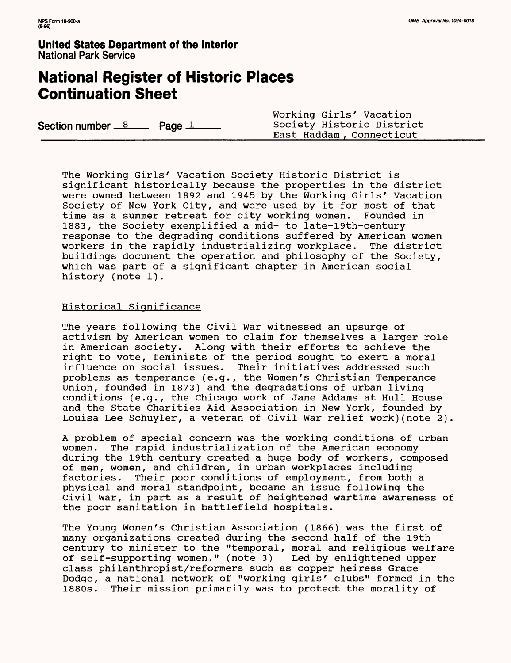# **National Register of Historic Places Continuation Sheet**

| Section number <u>__8___</u> __ | Page $\perp$ | Working Girls' Vacation<br>Society Historic District<br>East Haddam, Connecticut |
|---------------------------------|--------------|----------------------------------------------------------------------------------|
|                                 |              |                                                                                  |

The Working Girls' Vacation Society Historic District is significant historically because the properties in the district were owned between 1892 and 1945 by the Working Girls' Vacation Society of New York City, and were used by it for most of that time as a summer retreat for city working women. Founded in 1883, the Society exemplified a mid- to late-19th-century response to the degrading conditions suffered by American women workers in the rapidly industrializing workplace. The district buildings document the operation and philosophy of the Society, which was part of a significant chapter in American social history (note 1).

### Historical Significance

The years following the Civil War witnessed an upsurge of activism by American women to claim for themselves a larger role in American society. Along with their efforts to achieve the right to vote, feminists of the period sought to exert a moral influence on social issues. Their initiatives addressed such problems as temperance (e.g., the Women's Christian Temperance Union, founded in 1873) and the degradations of urban living conditions (e.g., the Chicago work of Jane Addams at Hull House and the State Charities Aid Association in New York, founded by Louisa Lee Schuyler, a veteran of Civil War relief work)(note 2).

A problem of special concern was the working conditions of urban women. The rapid industrialization of the American economy during the 19th century created a huge body of workers, composed of men, women, and children, in urban workplaces including factories. Their poor conditions of employment, from both a physical and moral standpoint, became an issue following the Civil War, in part as a result of heightened wartime awareness of the poor sanitation in battlefield hospitals.

The Young Women's Christian Association (1866) was the first of many organizations created during the second half of the 19th century to minister to the "temporal, moral and religious welfare<br>of self-supporting women." (note 3) Led by enlightened upper of self-supporting women." (note 3) class philanthropist/reformers such as copper heiress Grace Dodge, a national network of "working girls' clubs" formed in the 1880s. Their mission primarily was to protect the morality of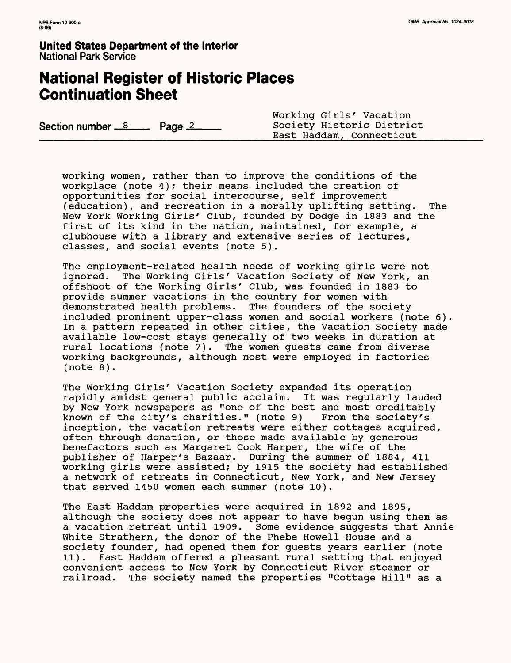# **National Register of Historic Places Continuation Sheet**

|  | Section number $\frac{8}{2}$ Page $\frac{2}{2}$ |  | Working Girls' Vacation<br>Society Historic District<br>East Haddam, Connecticut |
|--|-------------------------------------------------|--|----------------------------------------------------------------------------------|
|--|-------------------------------------------------|--|----------------------------------------------------------------------------------|

working women, rather than to improve the conditions of the workplace (note 4); their means included the creation of opportunities for social intercourse, self improvement (education), and recreation in a morally uplifting setting. The New York Working Girls' Club, founded by Dodge in 1883 and the first of its kind in the nation, maintained, for example, a clubhouse with a library and extensive series of lectures, classes, and social events (note 5).

The employment-related health needs of working girls were not<br>ignored. The Working Girls' Vacation Society of New York, an The Working Girls' Vacation Society of New York, an offshoot of the Working Girls' Club, was founded in 1883 to provide summer vacations in the country for women with demonstrated health problems. The founders of the society included prominent upper-class women and social workers (note 6). In a pattern repeated in other cities, the Vacation Society made available low-cost stays generally of two weeks in duration at rural locations (note 7). The women guests came from diverse working backgrounds, although most were employed in factories (note 8).

The Working Girls' Vacation Society expanded its operation rapidly amidst general public acclaim. It was regularly lauded by New York newspapers as "one of the best and most creditably known of the city's charities." (note 9) From the society's inception, the vacation retreats were either cottages acquired, often through donation, or those made available by generous benefactors such as Margaret Cook Harper, the wife of the publisher of Harper's Bazaar. During the summer of 1884, 411 working girls were assisted; by 1915 the society had established a network of retreats in Connecticut, New York, and New Jersey that served 1450 women each summer (note 10).

The East Haddam properties were acquired in 1892 and 1895, although the society does not appear to have begun using them as a vacation retreat until 1909. Some evidence suggests that Annie White Strathern, the donor of the Phebe Howell House and a society founder, had opened them for guests years earlier (note 11). East Haddam offered a pleasant rural setting that enjoyed convenient access to New York by Connecticut River steamer or railroad. The society named the properties "Cottage Hill" as a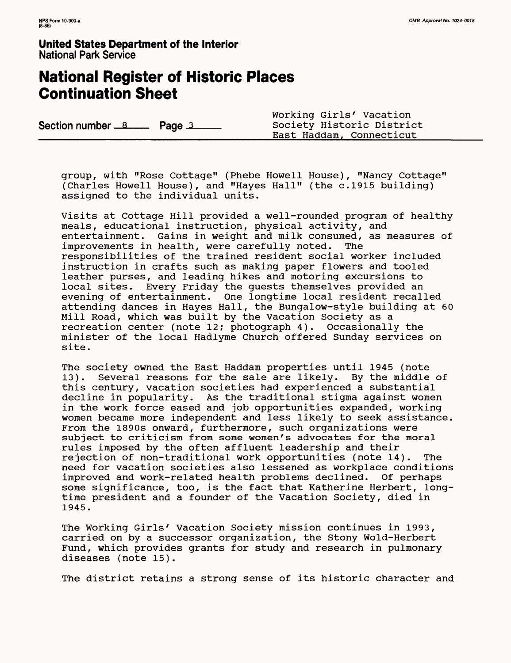# **National Register of Historic Places Continuation Sheet**

Section number <u>8 Page 3</u>

Working Girls' Vacation<br>Society Historic District East Haddam, Connecticut

group, with "Rose Cottage" (Phebe Howell House), "Nancy Cottage" (Charles Howell House), and "Hayes Hall" (the c.1915 building) assigned to the individual units.

Visits at Cottage Hill provided a well-rounded program of healthy meals, educational instruction, physical activity, and entertainment. Gains in weight and milk consumed, as measures of improvements in health, were carefully noted. The responsibilities of the trained resident social worker included instruction in crafts such as making paper flowers and tooled leather purses, and leading hikes and motoring excursions to local sites. Every Friday the guests themselves provided an evening of entertainment. One longtime local resident recalled attending dances in Hayes Hall, the Bungalow-style building at 60 Mill Road, which was built by the Vacation Society as a recreation center (note 12; photograph 4). Occasionally the minister of the local Hadlyrae Church offered Sunday services on site.

The society owned the East Haddam properties until 1945 (note 13). Several reasons for the sale are likely. By the middle of this century, vacation societies had experienced a substantial decline in popularity. As the traditional stigma against women in the work force eased and job opportunities expanded, working women became more independent and less likely to seek assistance. From the 1890s onward, furthermore, such organizations were subject to criticism from some women's advocates for the moral rules imposed by the often affluent leadership and their rejection of non-traditional work opportunities (note 14). The need for vacation societies also lessened as workplace conditions improved and work-related health problems declined. Of perhaps some significance, too, is the fact that Katherine Herbert, longtime president and a founder of the Vacation Society, died in 1945.

The Working Girls' Vacation Society mission continues in 1993, carried on by a successor organization, the Stony Wold-Herbert Fund, which provides grants for study and research in pulmonary diseases (note 15).

The district retains a strong sense of its historic character and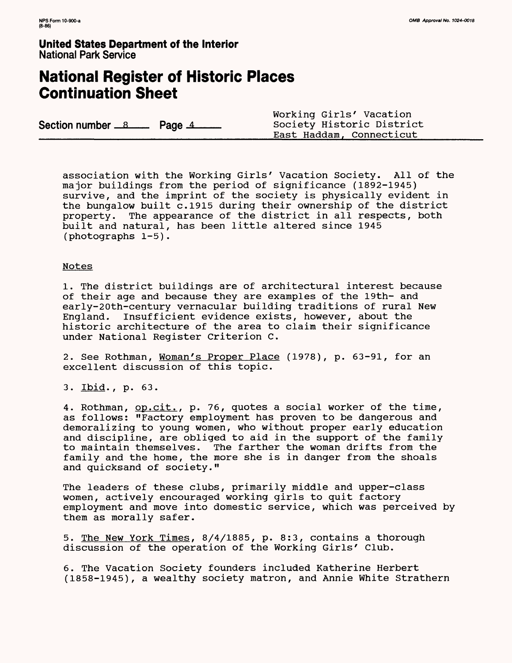# **National Register of Historic Places Continuation Sheet**

|                                    | Working Girls' Vacation   |
|------------------------------------|---------------------------|
| Section number $\_\&$ Page $\_\\&$ | Society Historic District |
|                                    | East Haddam, Connecticut  |

association with the Working Girls' Vacation Society. All of the major buildings from the period of significance (1892-1945) survive, and the imprint of the society is physically evident in the bungalow built c.1915 during their ownership of the district property. The appearance of the district in all respects, both built and natural, has been little altered since 1945 (photographs 1-5).

### Notes

1. The district buildings are of architectural interest because of their age and because they are examples of the 19th- and early-20th-century vernacular building traditions of rural New<br>England. Insufficient evidence exists, however, about the Insufficient evidence exists, however, about the historic architecture of the area to claim their significance under National Register Criterion C.

2. See Rothman, <u>Woman's Proper Place</u> (1978), p. 63-91, for an excellent discussion of this topic.

3. Ibid., p. 63.

4. Rothman, op.cit., p. 76, quotes a social worker of the time, as follows: "Factory employment has proven to be dangerous and demoralizing to young women, who without proper early education and discipline, are obliged to aid in the support of the family to maintain themselves. The farther the woman drifts from the family and the home, the more she is in danger from the shoals and quicksand of society."

The leaders of these clubs, primarily middle and upper-class women, actively encouraged working girls to quit factory employment and move into domestic service, which was perceived by them as morally safer.

5. The New York Times, 8/4/1885, p. 8:3, contains a thorough discussion of the operation of the Working Girls' Club.

6. The Vacation Society founders included Katherine Herbert (1858-1945), a wealthy society matron, and Annie White Strathern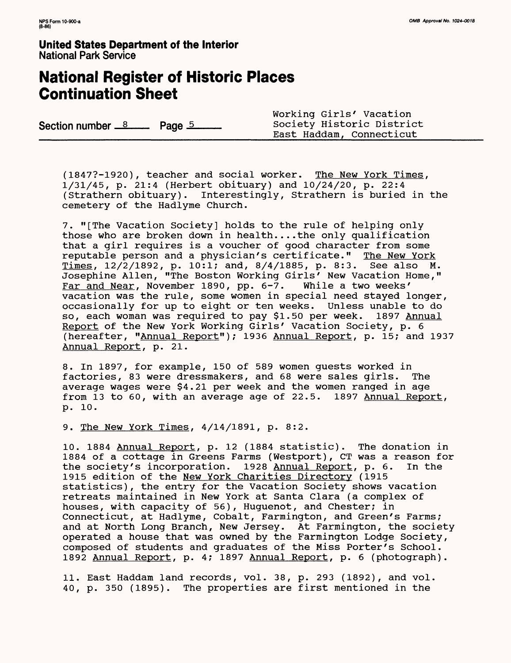# **National Register of Historic Places Continuation Sheet**

| Section number $\frac{8}{2}$ Page $\frac{5}{2}$ | Working Girls' Vacation<br>Society Historic District<br>East Haddam, Connecticut |
|-------------------------------------------------|----------------------------------------------------------------------------------|
|-------------------------------------------------|----------------------------------------------------------------------------------|

(18477-1920), teacher and social worker. The New York Times, 1/31/45, p. 21:4 (Herbert obituary) and 10/24/20, p. 22:4 (Strathern obituary). Interestingly, Strathern is buried in the cemetery of the Hadlyme Church.

7. "[The Vacation Society] holds to the rule of helping only those who are broken down in health....the only qualification that a girl requires is a voucher of good character from some reputable person and a physician's certificate." The New York<br>Times, 12/2/1892, p. 10:1; and, 8/4/1885, p. 8:3. See also M.  $Times$ , 12/2/1892, p. 10:1; and, 8/4/1885, p. 8:3. Josephine Allen, "The Boston Working Girls' New Vacation Home,"<br>Far and Near. November 1890, pp. 6-7. While a two weeks' Far and Near, November 1890, pp. 6-7. vacation was the rule, some women in special need stayed longer, occasionally for up to eight or ten weeks. Unless unable to do<br>so, each woman was required to pay \$1.50 per week. 1897 Annual so, each woman was required to pay  $$1.50$  per week. Report of the New York Working Girls' Vacation Society, p. 6 (hereafter, "Annual Report"); 1936 Annual Report, p. 15; and 1937 Annual Report, p. 21.

8. In 1897, for example, 150 of 589 women guests worked in factories, 83 were dressmakers, and 68 were sales girls. The average wages were \$4.21 per week and the women ranged in age from 13 to 60, with an average age of 22.5. 1897 Annual Report, p. 10.

9. The New York Times, 4/14/1891, p. 8:2.

10. 1884 Annual Report, p. 12 (1884 statistic). The donation in 1884 of a cottage in Greens Farms (Westport), CT was a reason for the society's incorporation. 1928 Annual Report, p. 6. In the 1915 edition of the New York Charities Directory (1915 statistics), the entry for the Vacation Society shows vacation retreats maintained in New York at Santa Clara (a complex of houses, with capacity of 56), Huguenot, and Chester; in Connecticut, at Hadlyme, Cobalt, Farmington, and Green's Farms; and at North Long Branch, New Jersey. At Farmington, the society operated a house that was owned by the Farmington Lodge Society, composed of students and graduates of the Miss Porter's School. 1892 Annual Report, p. 4; 1897 Annual Report, p. 6 (photograph).

11. East Haddam land records, vol. 38, p. 293 (1892), and vol. 40, p. 350 (1895). The properties are first mentioned in the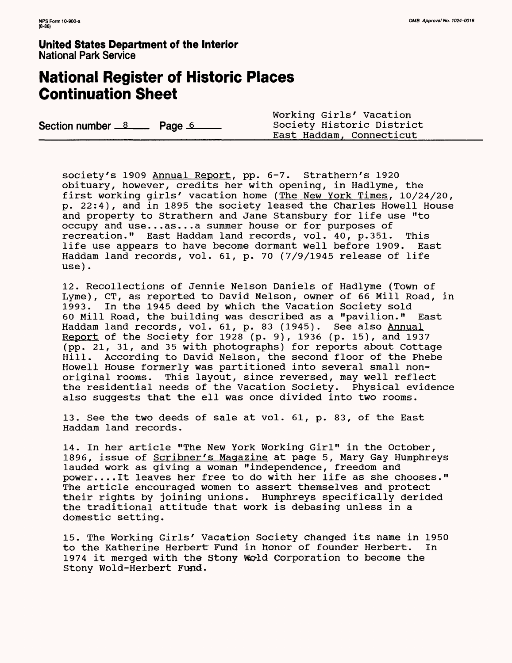# **National Register of Historic Places Continuation Sheet**

|  | Section number <u>8</u> Page 6 |  | Working Girls' Vacation<br>Society Historic District<br>East Haddam, Connecticut |  |
|--|--------------------------------|--|----------------------------------------------------------------------------------|--|
|--|--------------------------------|--|----------------------------------------------------------------------------------|--|

society's 1909 Annual Report, pp. 6-7. Strathern's 1920 obituary, however, credits her with opening, in Hadlyme, the first working girls' vacation home (The New York Times, 10/24/20, p. 22:4), and in 1895 the society leased the Charles Howell House and property to Strathern and Jane Stansbury for life use "to occupy and use... as... a summer house or for purposes of recreation." East Haddam land records, vol. 40, p.351. This life use appears to have become dormant well before 1909. East Haddam land records, vol. 61, p. 70 (7/9/1945 release of life use) .

12. Recollections of Jennie Nelson Daniels of Hadlyme (Town of Lyme), CT, as reported to David Nelson, owner of 66 Mill Road, in 1993. In the 1945 deed by which the Vacation Society sold 60 Mill Road, the building was described as a "pavilion." East<br>Haddam land records, vol. 61, p. 83 (1945). See also <u>Annual</u> Haddam land records, vol.  $61$ , p. 83 (1945). Report of the Society for 1928 (p. 9), 1936 (p. 15), and 1937 (pp. 21, 31, and 35 with photographs) for reports about Cottage Hill. According to David Nelson, the second floor of the Phebe Howell House formerly was partitioned into several small nonoriginal rooms. This layout, since reversed, may well reflect the residential needs of the Vacation Society. Physical evidence also suggests that the ell was once divided into two rooms.

13. See the two deeds of sale at vol. 61, p. 83, of the East Haddam land records.

14. In her article "The New York Working Girl" in the October, 1896, issue of Scribner's Magazine at page 5, Mary Gay Humphreys lauded work as giving a woman "independence, freedom and power....It leaves her free to do with her life as she chooses." The article encouraged women to assert themselves and protect their rights by joining unions. Humphreys specifically derided the traditional attitude that work is debasing unless in a domestic setting.

15. The Working Girls' Vagation Society changed its name in 1950 to the Katherine Herbert Fund in honor of founder Herbert. In 1974 it merged with the Stony Wpld Corporation to become the Stony Wold-Herbert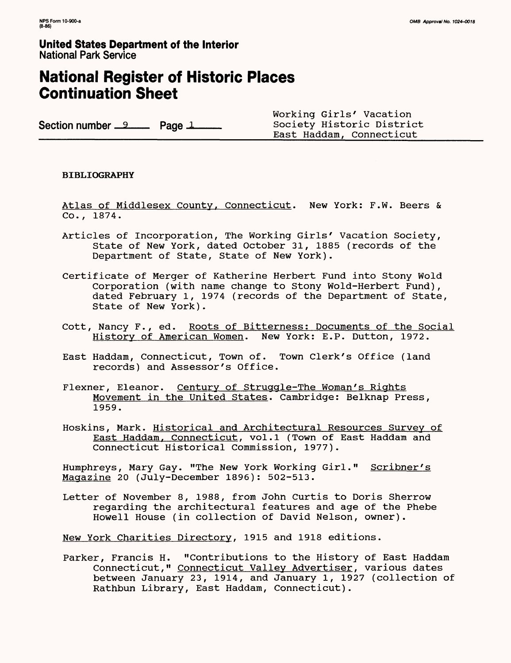# **National Register of Historic Places Continuation Sheet**

Section number <u>9 Page 1</u>

Working Girls' Vacation<br>Society Historic District East Haddam, Connecticut

### **BIBLIOGRAPHY**

Atlas of Middlesex County, Connecticut. New York: F.W. Beers & Co., 1874.

- Articles of Incorporation, The Working Girls' Vacation Society, State of New York, dated October 31, 1885 (records of the Department of State, State of New York).
- Certificate of Merger of Katherine Herbert Fund into Stony Wold Corporation (with name change to Stony Wold-Herbert Fund), dated February 1, 1974 (records of the Department of State, State of New York).
- Cott, Nancy F., ed. Roots of Bitterness: Documents of the Social History of American Women. New York: E.P. Dutton, 1972.
- East Haddam, Connecticut, Town of. Town Clerk's Office (land records) and Assessor's Office.
- Flexner, Eleanor. Century of Struggle-The Woman's Rights Movement in the United States. Cambridge: Belknap Press, 1959.
- Hoskins, Mark. Historical and Architectural Resources Survey of East Haddam, Connecticut, vol.1 (Town of East Haddam and Connecticut Historical Commission, 1977).

Humphreys, Mary Gay. "The New York Working Girl." Scribner's Magazine 20 (July-December 1896): 502-513.

Letter of November 8, 1988, from John Curtis to Doris Sherrow regarding the architectural features and age of the Phebe Howell House (in collection of David Nelson, owner).

New York Charities Directory, 1915 and 1918 editions.

Parker, Francis H. "Contributions to the History of East Haddam Connecticut," Connecticut Valley Advertiser, various dates between January 23, 1914, and January 1, 1927 (collection of Rathbun Library, East Haddam, Connecticut).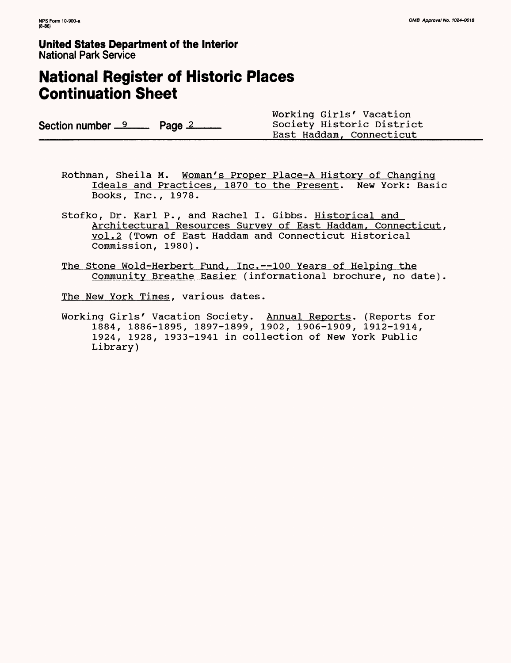# **National Register of Historic Places Continuation Sheet**

| Section number <u>9</u> Page 2<br>East Haddam, Connecticut |  |  | Working Girls' Vacation<br>Society Historic District |
|------------------------------------------------------------|--|--|------------------------------------------------------|
|------------------------------------------------------------|--|--|------------------------------------------------------|

- Rothman, Sheila M. Woman's Proper Place-A History of Changing Ideals and Practices, 1870 to the Present. New York: Basic Books, Inc., 1978.
- Stofko, Dr. Karl P., and Rachel I. Gibbs. Historical and Architectural Resources Survey of East Haddam, Connecticut, vol.2 (Town of East Haddam and Connecticut Historical Commission, 1980).
- The Stone Wold-Herbert Fund, Inc.--100 Years of Helping the Community Breathe Easier (informational brochure, no date).

The New York Times, various dates.

Working Girls' Vacation Society. Annual Reports. (Reports for 1884, 1886-1895, 1897-1899, 1902, 1906-1909, 1912-1914, 1924, 1928, 1933-1941 in collection of New York Public Library)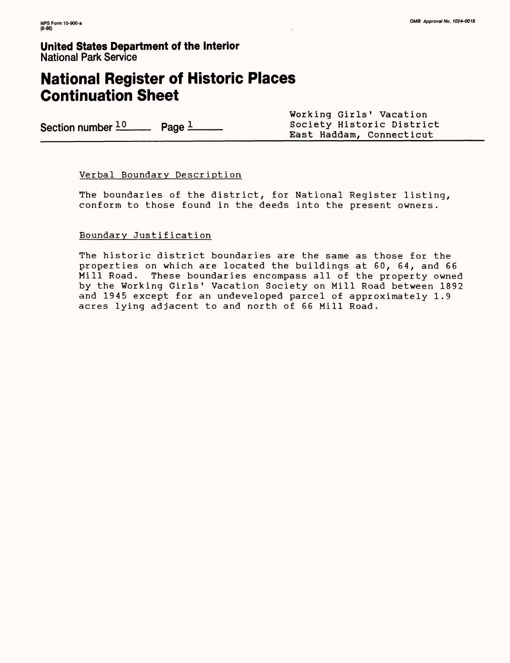# **National Register of Historic Places Continuation Sheet**

|                                                  |  | Working Girls' Vacation   |
|--------------------------------------------------|--|---------------------------|
| Section number $\frac{10}{2}$ Page $\frac{1}{2}$ |  | Society Historic District |
|                                                  |  | East Haddam, Connecticut  |

### Verbal Boundary Description

The boundaries of the district, for National Register listing, conform to those found in the deeds into the present owners.

### Boundary Justification

The historic district boundaries are the same as those for the properties on which are located the buildings at 60, 64, and 66 Mill Road. These boundaries encompass all of the property owned by the Working Girls' Vacation Society on Mill Road between 1892 and 1945 except for an undeveloped parcel of approximately 1.9 acres lying adjacent to and north of 66 Mill Road.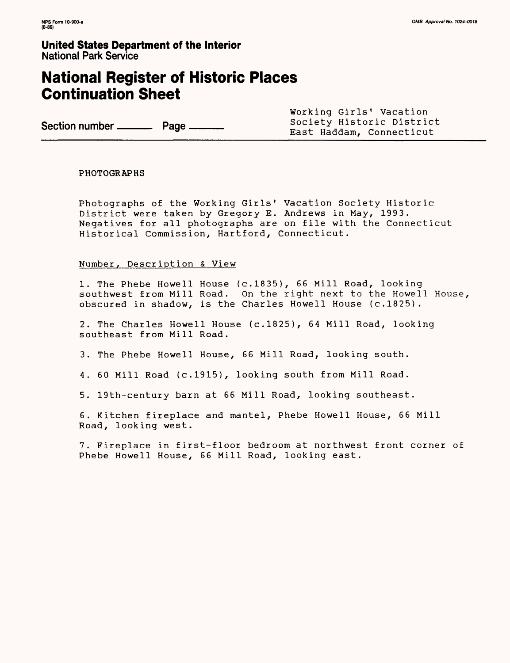# **National Register of Historic Places Continuation Sheet**

Section number **\_\_\_\_\_\_** Page \_\_\_\_\_

Working Girls' Vacation East Haddam, Connecticut

### PHOTOGRAPHS

Photographs of the Working Girls' Vacation Society Historic District were taken by Gregory E. Andrews in May, 1993. Negatives for all photographs are on file with the Connecticut Historical Commission, Hartford, Connecticut.

Number, Description & View

1. The Phebe Howell House (c.1835), 66 Mill Road, looking southwest from Mill Road. On the right next to the Howell House, obscured in shadow, is the Charles Howell House (c.1825).

2. The Charles Howell House (c.1825), 64 Mill Road, looking southeast from Mill Road.

3. The Phebe Howell House, 66 Mill Road, looking south.

4. 60 Mill Road (c.1915), looking south from Mill Road.

5. 19th-century barn at 66 Mill Road, looking southeast.

6. Kitchen fireplace and mantel, Phebe Howell House, 66 Mill Road, looking west.

7. Fireplace in first-floor bedroom at northwest front corner of Phebe Howell House, 66 Mill Road, looking east.